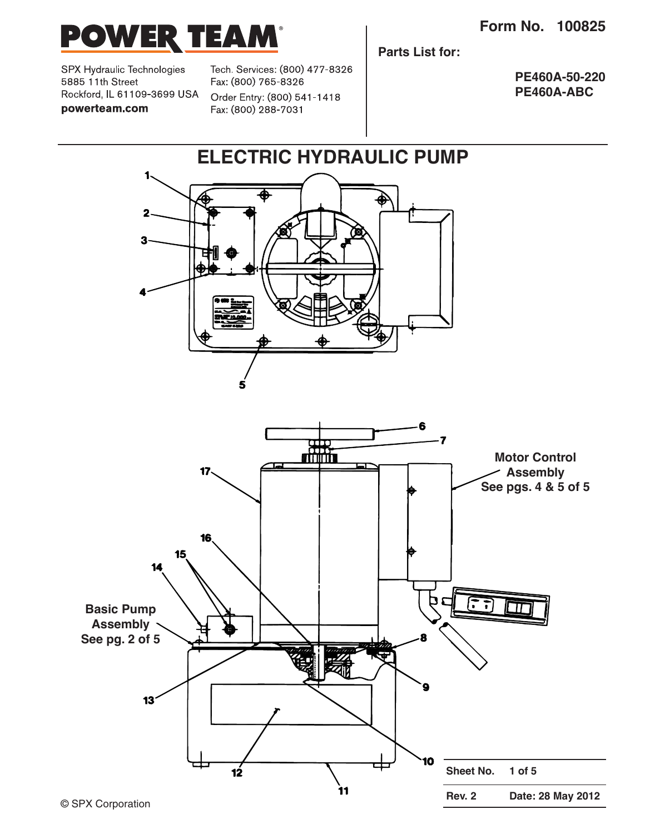

SPX Hydraulic Technologies 5885 11th Street Rockford, IL 61109-3699 USA powerteam.com

Tech. Services: (800) 477-8326 Fax: (800) 765-8326 Order Entry: (800) 541-1418 Fax: (800) 288-7031

**Parts List for:**

**PE460A-50-220 PE460A-ABC**

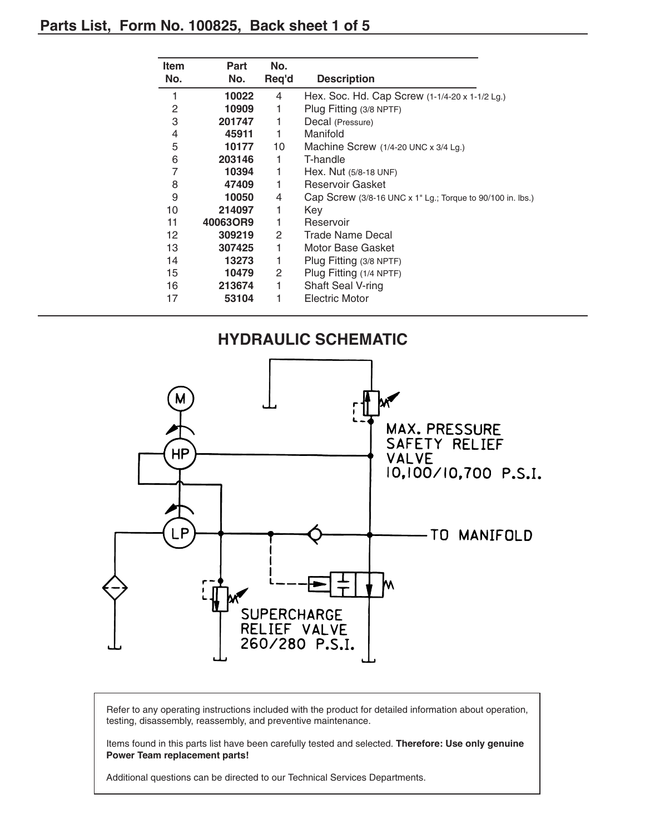## **Parts List, Form No. 100825, Back sheet 1 of 5**

| <b>Item</b> | Part     | No.   |                                                            |  |
|-------------|----------|-------|------------------------------------------------------------|--|
| No.         | No.      | Req'd | <b>Description</b>                                         |  |
| 1           | 10022    | 4     | Hex. Soc. Hd. Cap Screw (1-1/4-20 x 1-1/2 Lg.)             |  |
| 2           | 10909    | 1     | Plug Fitting (3/8 NPTF)                                    |  |
| 3           | 201747   | 1     | Decal (Pressure)                                           |  |
| 4           | 45911    | 1     | Manifold                                                   |  |
| 5           | 10177    | 10    | Machine Screw $(1/4-20$ UNC x $3/4$ Lg.)                   |  |
| 6           | 203146   | 1     | T-handle                                                   |  |
| 7           | 10394    | 1     | Hex. Nut (5/8-18 UNF)                                      |  |
| 8           | 47409    | 1     | Reservoir Gasket                                           |  |
| 9           | 10050    | 4     | Cap Screw (3/8-16 UNC x 1" Lg.; Torque to 90/100 in. lbs.) |  |
| 10          | 214097   | 1     | Key                                                        |  |
| 11          | 40063OR9 | 1     | Reservoir                                                  |  |
| 12          | 309219   | 2     | Trade Name Decal                                           |  |
| 13          | 307425   | 1     | Motor Base Gasket                                          |  |
| 14          | 13273    | 1     | Plug Fitting (3/8 NPTF)                                    |  |
| 15          | 10479    | 2     | Plug Fitting (1/4 NPTF)                                    |  |
| 16          | 213674   | 1     | Shaft Seal V-ring                                          |  |
| 17          | 53104    | 1     | Electric Motor                                             |  |



Refer to any operating instructions included with the product for detailed information about operation, testing, disassembly, reassembly, and preventive maintenance.

Items found in this parts list have been carefully tested and selected. **Therefore: Use only genuine Power Team replacement parts!**

Additional questions can be directed to our Technical Services Departments.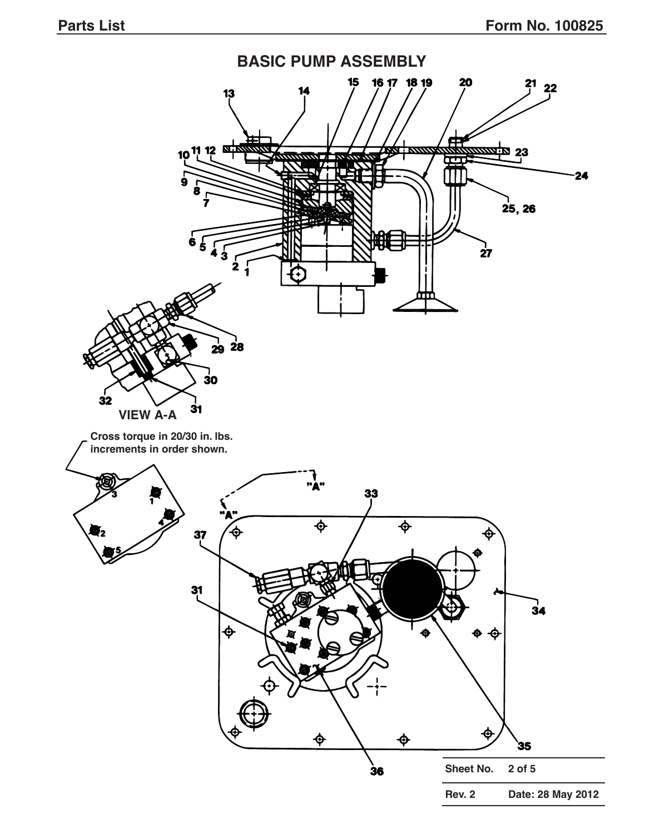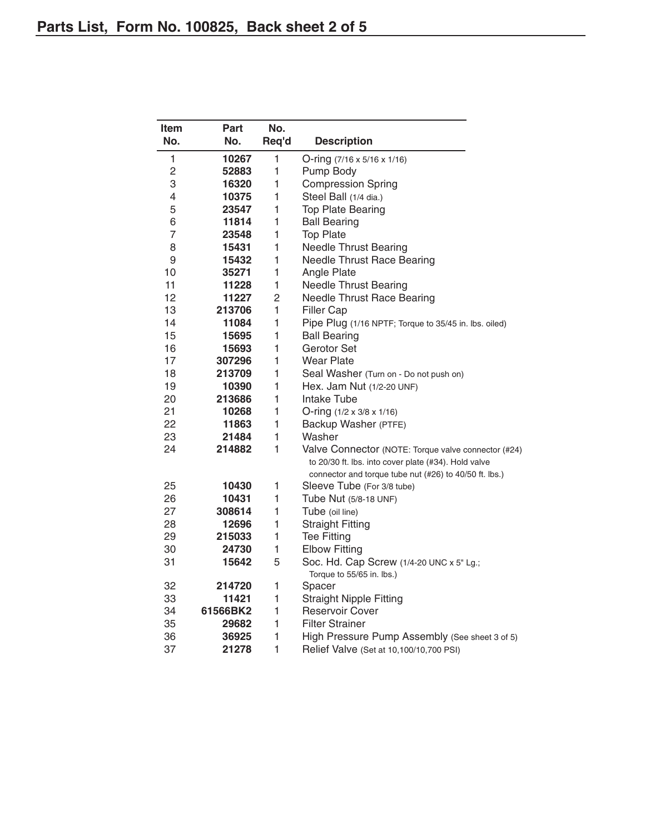| Item           | Part     | No.          |                                                        |  |  |
|----------------|----------|--------------|--------------------------------------------------------|--|--|
| No.            | No.      | Req'd        | <b>Description</b>                                     |  |  |
| 1              | 10267    | $\mathbf{1}$ | O-ring (7/16 x 5/16 x 1/16)                            |  |  |
| 2              | 52883    | 1            | Pump Body                                              |  |  |
| 3              | 16320    | 1            | <b>Compression Spring</b>                              |  |  |
| 4              | 10375    | 1            | Steel Ball (1/4 dia.)                                  |  |  |
| 5              | 23547    | 1            | <b>Top Plate Bearing</b>                               |  |  |
| 6              | 11814    | 1            | <b>Ball Bearing</b>                                    |  |  |
| $\overline{7}$ | 23548    | 1            | <b>Top Plate</b>                                       |  |  |
| 8              | 15431    | 1            | <b>Needle Thrust Bearing</b>                           |  |  |
| 9              | 15432    | 1            | <b>Needle Thrust Race Bearing</b>                      |  |  |
| 10             | 35271    | 1            | Angle Plate                                            |  |  |
| 11             | 11228    | 1            | <b>Needle Thrust Bearing</b>                           |  |  |
| 12             | 11227    | 2            | <b>Needle Thrust Race Bearing</b>                      |  |  |
| 13             | 213706   | 1            | <b>Filler Cap</b>                                      |  |  |
| 14             | 11084    | 1            | Pipe Plug (1/16 NPTF; Torque to 35/45 in. lbs. oiled)  |  |  |
| 15             | 15695    | 1            | <b>Ball Bearing</b>                                    |  |  |
| 16             | 15693    | 1            | Gerotor Set                                            |  |  |
| 17             | 307296   | 1            | <b>Wear Plate</b>                                      |  |  |
| 18             | 213709   | 1            | Seal Washer (Turn on - Do not push on)                 |  |  |
| 19             | 10390    | 1            | Hex. Jam Nut (1/2-20 UNF)                              |  |  |
| 20             | 213686   | 1            | Intake Tube                                            |  |  |
| 21             | 10268    | 1            | O-ring $(1/2 \times 3/8 \times 1/16)$                  |  |  |
| 22             | 11863    | 1            | Backup Washer (PTFE)                                   |  |  |
| 23             | 21484    | 1            | Washer                                                 |  |  |
| 24             | 214882   | 1            | Valve Connector (NOTE: Torque valve connector (#24)    |  |  |
|                |          |              | to 20/30 ft. lbs. into cover plate (#34). Hold valve   |  |  |
|                |          |              | connector and torque tube nut (#26) to 40/50 ft. lbs.) |  |  |
| 25             | 10430    | 1            | Sleeve Tube (For 3/8 tube)                             |  |  |
| 26             | 10431    | 1            | Tube Nut (5/8-18 UNF)                                  |  |  |
| 27             | 308614   | 1            | Tube (oil line)                                        |  |  |
| 28             | 12696    | 1            | <b>Straight Fitting</b>                                |  |  |
| 29             | 215033   | 1            | <b>Tee Fitting</b>                                     |  |  |
| 30             | 24730    | 1            | <b>Elbow Fitting</b>                                   |  |  |
| 31             | 15642    | 5            | Soc. Hd. Cap Screw (1/4-20 UNC x 5" Lg.;               |  |  |
| 32             | 214720   | 1            | Torque to 55/65 in. lbs.)<br>Spacer                    |  |  |
| 33             | 11421    | 1            | <b>Straight Nipple Fitting</b>                         |  |  |
| 34             | 61566BK2 | 1            | <b>Reservoir Cover</b>                                 |  |  |
| 35             | 29682    | 1            | <b>Filter Strainer</b>                                 |  |  |
| 36             | 36925    | 1            | High Pressure Pump Assembly (See sheet 3 of 5)         |  |  |
| 37             | 21278    | $\mathbf{1}$ | Relief Valve (Set at 10,100/10,700 PSI)                |  |  |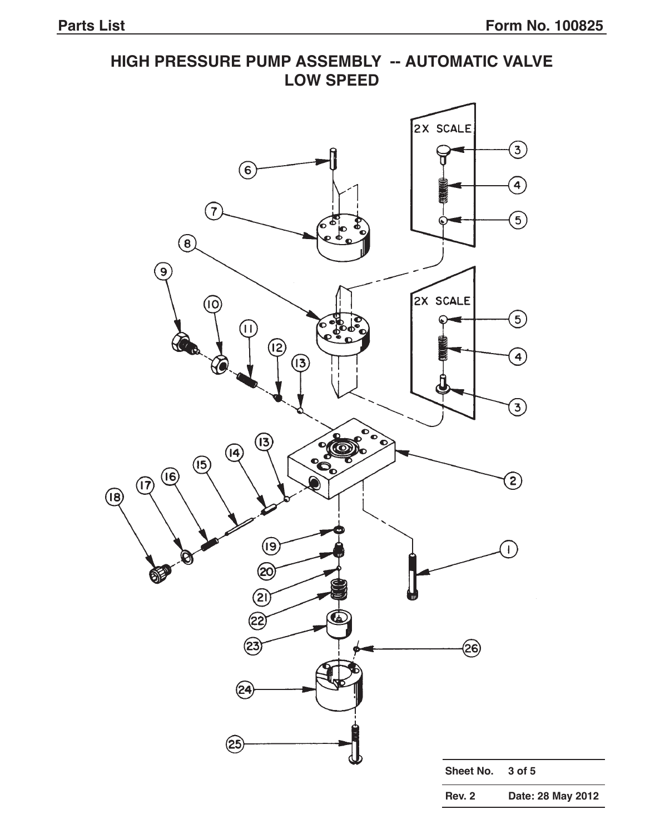# **HIGH PRESSURE PUMP ASSEMBLY -- AUTOMATIC VALVE LOW SPEED** 2X SCALE  $\bigcirc$  $\bigodot$  $\bigodot$  $\left(7\right)$  $\circledS$ Ċ  $\mathbf{P}$  $\circled{6}$  $\left( \mathsf{e}\right)$ 2X SCALE (10  $\circledS$  $[\mathsf{H}]$  $\left( \overline{2}\right)$  $\bigoplus$  $\widehat{B}$  $\bigodot$  $\left( \overline{13}\right)$ .<br>බ  $(14)$  $\mathbf{e}$  $\circled{5}$  $\circled{\scriptstyle 6}$  $\Large{\textcircled{\small{2}}}$  $(1)$  $(18)$  $\circled{9}$  $\mathbf{I}$ <u>ක</u> OF ② (ટર્ @  $(23$ (24 25 **Sheet No. 3 of 5 Rev. 2 Date: 28 May 2012**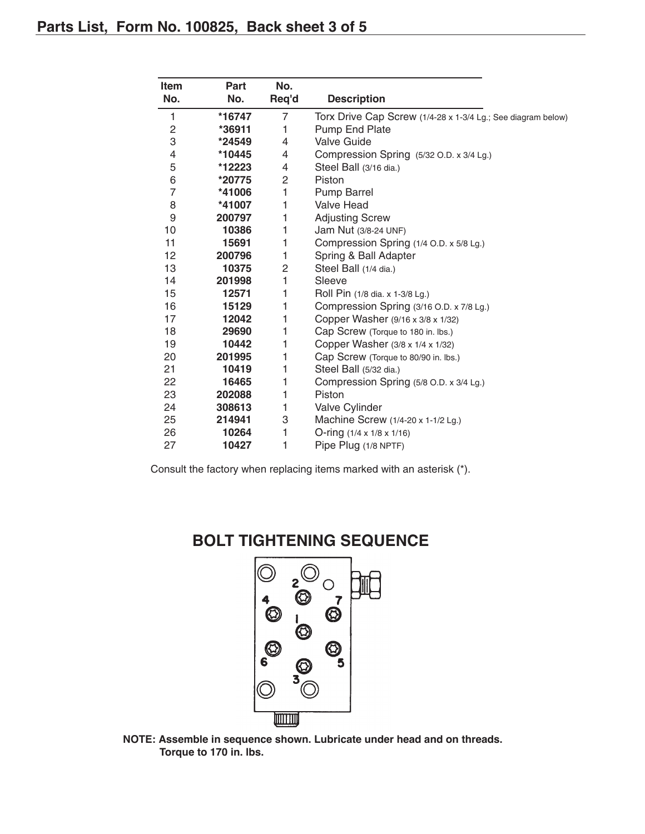| Item           | Part   | No.   |                                                              |  |
|----------------|--------|-------|--------------------------------------------------------------|--|
| No.            | No.    | Req'd | <b>Description</b>                                           |  |
| 1              | *16747 | 7     | Torx Drive Cap Screw (1/4-28 x 1-3/4 Lg.; See diagram below) |  |
| 2              | *36911 | 1     | Pump End Plate                                               |  |
| 3              | *24549 | 4     | <b>Valve Guide</b>                                           |  |
| 4              | *10445 | 4     | Compression Spring (5/32 O.D. x 3/4 Lg.)                     |  |
| 5              | *12223 | 4     | Steel Ball (3/16 dia.)                                       |  |
| 6              | *20775 | 2     | Piston                                                       |  |
| $\overline{7}$ | *41006 | 1     | <b>Pump Barrel</b>                                           |  |
| 8              | *41007 | 1     | <b>Valve Head</b>                                            |  |
| 9              | 200797 | 1     | <b>Adjusting Screw</b>                                       |  |
| 10             | 10386  | 1     | Jam Nut (3/8-24 UNF)                                         |  |
| 11             | 15691  | 1     | Compression Spring (1/4 O.D. x 5/8 Lg.)                      |  |
| 12             | 200796 | 1     | Spring & Ball Adapter                                        |  |
| 13             | 10375  | 2     | Steel Ball (1/4 dia.)                                        |  |
| 14             | 201998 | 1     | Sleeve                                                       |  |
| 15             | 12571  | 1     | Roll Pin (1/8 dia. x 1-3/8 Lg.)                              |  |
| 16             | 15129  | 1     | Compression Spring (3/16 O.D. x 7/8 Lg.)                     |  |
| 17             | 12042  | 1     | Copper Washer (9/16 x 3/8 x 1/32)                            |  |
| 18             | 29690  | 1     | Cap Screw (Torque to 180 in. lbs.)                           |  |
| 19             | 10442  | 1     | Copper Washer (3/8 x 1/4 x 1/32)                             |  |
| 20             | 201995 | 1     | Cap Screw (Torque to 80/90 in. lbs.)                         |  |
| 21             | 10419  | 1     | Steel Ball (5/32 dia.)                                       |  |
| 22             | 16465  | 1     | Compression Spring (5/8 O.D. x 3/4 Lg.)                      |  |
| 23             | 202088 | 1     | Piston                                                       |  |
| 24             | 308613 | 1     | <b>Valve Cylinder</b>                                        |  |
| 25             | 214941 | 3     | Machine Screw (1/4-20 x 1-1/2 Lg.)                           |  |
| 26             | 10264  | 1     | O-ring (1/4 x 1/8 x 1/16)                                    |  |
| 27             | 10427  | 1     | Pipe Plug (1/8 NPTF)                                         |  |

Consult the factory when replacing items marked with an asterisk (\*).

# **BOLT TIGHTENING SEQUENCE**



**NOTE: Assemble in sequence shown. Lubricate under head and on threads. Torque to 170 in. lbs.**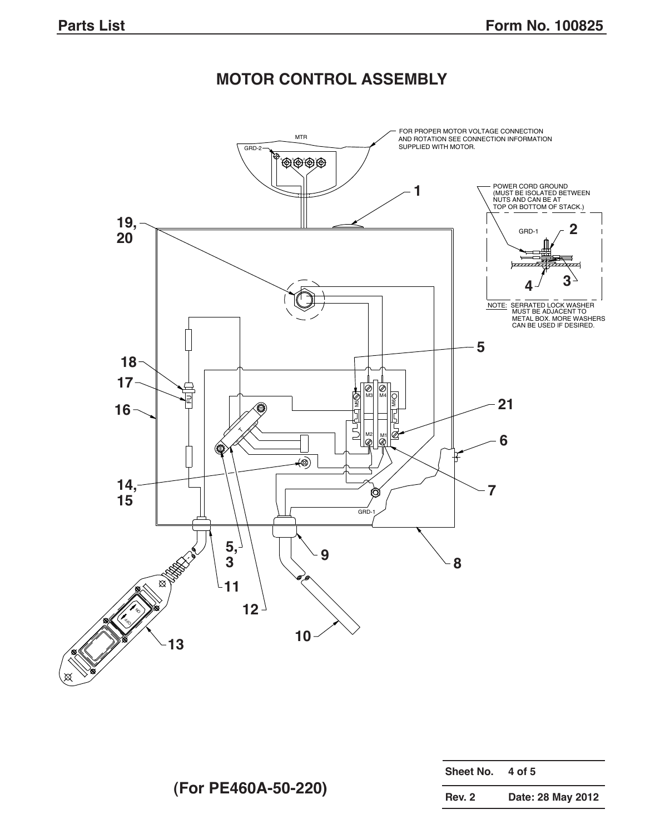# **MOTOR CONTROL ASSEMBLY**



| Sheet No.     | 4 of 5            |
|---------------|-------------------|
| <b>Rev. 2</b> | Date: 28 May 2012 |

**(For PE460A-50-220)**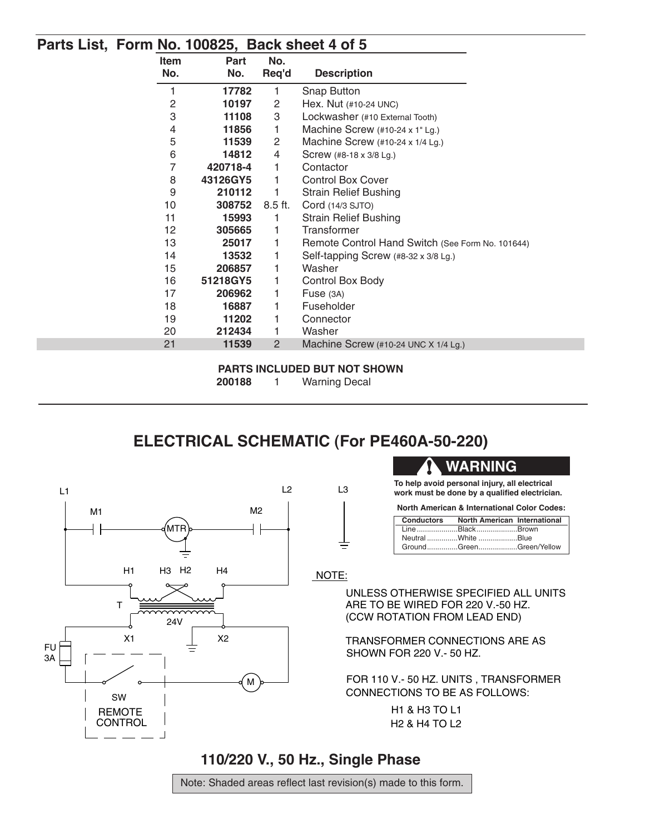#### **Parts List, Form No. 100825, Back sheet 4 of 5**

| <b>Item</b>    | Part     | No.       |                                                  |  |
|----------------|----------|-----------|--------------------------------------------------|--|
| No.            | No.      | Req'd     | <b>Description</b>                               |  |
| 1              | 17782    | 1         | <b>Snap Button</b>                               |  |
| 2              | 10197    | 2         | Hex. Nut (#10-24 UNC)                            |  |
| 3              | 11108    | 3         | Lockwasher (#10 External Tooth)                  |  |
| 4              | 11856    | 1         | Machine Screw (#10-24 x 1" Lg.)                  |  |
| 5              | 11539    | 2         | Machine Screw (#10-24 x 1/4 Lg.)                 |  |
| 6              | 14812    | 4         | Screw (#8-18 x 3/8 Lg.)                          |  |
| $\overline{7}$ | 420718-4 | 1         | Contactor                                        |  |
| 8              | 43126GY5 | 1         | <b>Control Box Cover</b>                         |  |
| 9              | 210112   | 1         | <b>Strain Relief Bushing</b>                     |  |
| 10             | 308752   | $8.5$ ft. | Cord (14/3 SJTO)                                 |  |
| 11             | 15993    | 1         | <b>Strain Relief Bushing</b>                     |  |
| 12             | 305665   | 1         | Transformer                                      |  |
| 13             | 25017    | 1         | Remote Control Hand Switch (See Form No. 101644) |  |
| 14             | 13532    | 1         | Self-tapping Screw (#8-32 x 3/8 Lg.)             |  |
| 15             | 206857   | 1         | Washer                                           |  |
| 16             | 51218GY5 | 1         | Control Box Body                                 |  |
| 17             | 206962   | 1         | Fuse (3A)                                        |  |
| 18             | 16887    | 1         | Fuseholder                                       |  |
| 19             | 11202    |           | Connector                                        |  |
| 20             | 212434   | 1         | Washer                                           |  |
| 21             | 11539    | 2         | Machine Screw (#10-24 UNC X 1/4 Lg.)             |  |

#### **PARTS INCLUDED BUT NOT SHOWN**

**200188** 1 Warning Decal

# **ELECTRICAL SCHEMATIC (For PE460A-50-220)**



## **WARNING**

**To help avoid personal injury, all electrical work must be done by a qualified electrician.**

| <b>North American &amp; International Color Codes:</b> |  |  |  |  |
|--------------------------------------------------------|--|--|--|--|
|--------------------------------------------------------|--|--|--|--|

| Conductors North American International |  |
|-----------------------------------------|--|
| LineBlackBrown                          |  |
| Neutral White Blue                      |  |
| GroundGreenGreen/Yellow                 |  |

NOTE:

 $=$ 

ARE TO BE WIRED FOR 220 V.-50 HZ. (CCW ROTATION FROM LEAD END) UNLESS OTHERWISE SPECIFIED ALL UNITS

SHOWN FOR 220 V.- 50 HZ. TRANSFORMER CONNECTIONS ARE AS

FOR 110 V.- 50 HZ. UNITS , TRANSFORMER CONNECTIONS TO BE AS FOLLOWS:

> H2 & H4 TO L2 H1 & H3 TO L1

## **110/220 V., 50 Hz., Single Phase**

Note: Shaded areas reflect last revision(s) made to this form.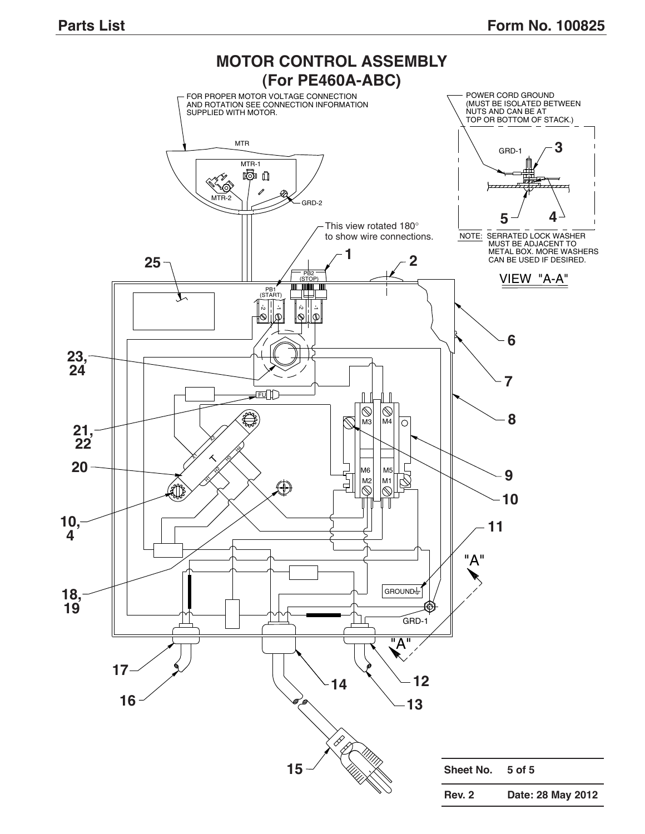